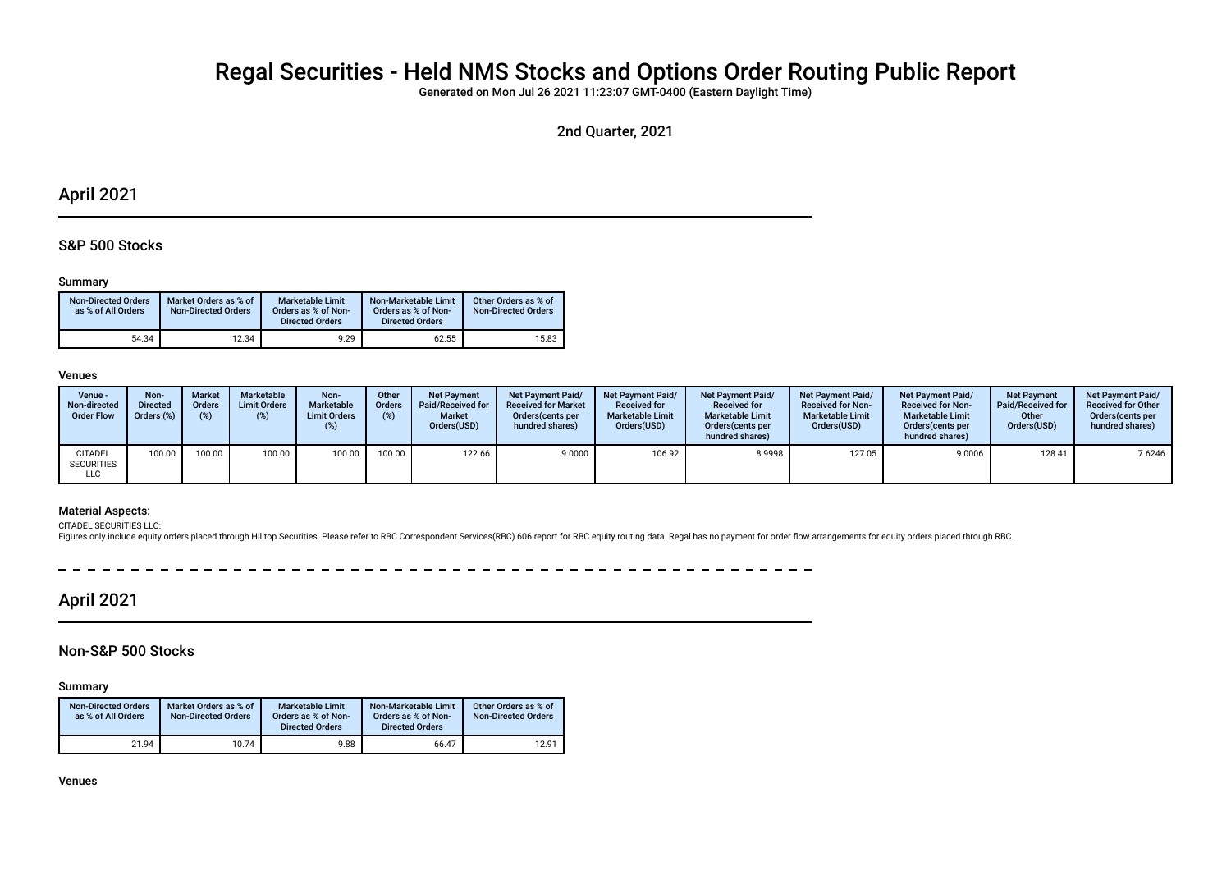# Regal Securities - Held NMS Stocks and Options Order Routing Public Report

Generated on Mon Jul 26 2021 11:23:07 GMT-0400 (Eastern Daylight Time)

2nd Quarter, 2021

# April 2021

## S&P 500 Stocks

#### Summary

| <b>Non-Directed Orders</b><br>as % of All Orders | Market Orders as % of<br><b>Non-Directed Orders</b> | <b>Marketable Limit</b><br>Orders as % of Non-<br><b>Directed Orders</b> | Non-Marketable Limit<br>Orders as % of Non-<br><b>Directed Orders</b> | Other Orders as % of<br><b>Non-Directed Orders</b> |
|--------------------------------------------------|-----------------------------------------------------|--------------------------------------------------------------------------|-----------------------------------------------------------------------|----------------------------------------------------|
| 54.34                                            | 12.34                                               | 9.29                                                                     | 62.55                                                                 | 15.83                                              |

#### Venues

| Venue -<br>Non-directed<br><b>Order Flow</b> | Non-<br><b>Directed</b><br>Orders (%) | <b>Market</b><br><b>Orders</b> | Marketable<br><b>Limit Orders</b> | Non-<br>Marketable<br><b>Limit Orders</b><br>$(\%)$ | Other<br><b>Orders</b><br>(%) | <b>Net Payment</b><br>Paid/Received for<br><b>Market</b><br>Orders(USD) | <b>Net Payment Paid/</b><br><b>Received for Market</b><br>Orders (cents per<br>hundred shares) | Net Payment Paid/<br><b>Received for</b><br><b>Marketable Limit</b><br>Orders(USD) | <b>Net Payment Paid/</b><br><b>Received for</b><br><b>Marketable Limit</b><br>Orders (cents per<br>hundred shares) | <b>Net Payment Paid/</b><br><b>Received for Non-</b><br><b>Marketable Limit</b><br>Orders(USD) | <b>Net Payment Paid/</b><br><b>Received for Non-</b><br><b>Marketable Limit</b><br>Orders (cents per<br>hundred shares) | <b>Net Payment</b><br>Paid/Received for<br>Other<br>Orders(USD) | <b>Net Payment Paid/</b><br><b>Received for Other</b><br>Orders(cents per<br>hundred shares) |
|----------------------------------------------|---------------------------------------|--------------------------------|-----------------------------------|-----------------------------------------------------|-------------------------------|-------------------------------------------------------------------------|------------------------------------------------------------------------------------------------|------------------------------------------------------------------------------------|--------------------------------------------------------------------------------------------------------------------|------------------------------------------------------------------------------------------------|-------------------------------------------------------------------------------------------------------------------------|-----------------------------------------------------------------|----------------------------------------------------------------------------------------------|
| <b>CITADEL</b><br><b>SECURITIES</b><br>LLC   | 100.00                                | 100.00                         | 100.00                            | 100.00                                              | 100.00                        | 122.66                                                                  | 9.0000                                                                                         | 106.92                                                                             | 8.9998                                                                                                             | 127.05                                                                                         | 9.0006                                                                                                                  | 128.41                                                          | 7.6246                                                                                       |

#### Material Aspects:

CITADEL SECURITIES LLC:

Figures only include equity orders placed through Hilltop Securities. Please refer to RBC Correspondent Services(RBC) 606 report for RBC equity routing data. Regal has no payment for order flow arrangements for equity orde

 $\equiv$  $\overline{\phantom{0}}$ 

# April 2021

# Non-S&P 500 Stocks

Summary

| <b>Non-Directed Orders</b><br>as % of All Orders | Market Orders as % of<br><b>Non-Directed Orders</b> | Marketable Limit<br>Orders as % of Non-<br><b>Directed Orders</b> | Non-Marketable Limit<br>Orders as % of Non-<br><b>Directed Orders</b> | Other Orders as % of<br><b>Non-Directed Orders</b> |
|--------------------------------------------------|-----------------------------------------------------|-------------------------------------------------------------------|-----------------------------------------------------------------------|----------------------------------------------------|
| 21.94                                            | 10.74                                               | 9.88                                                              | 66.47                                                                 | 12.91                                              |

Venues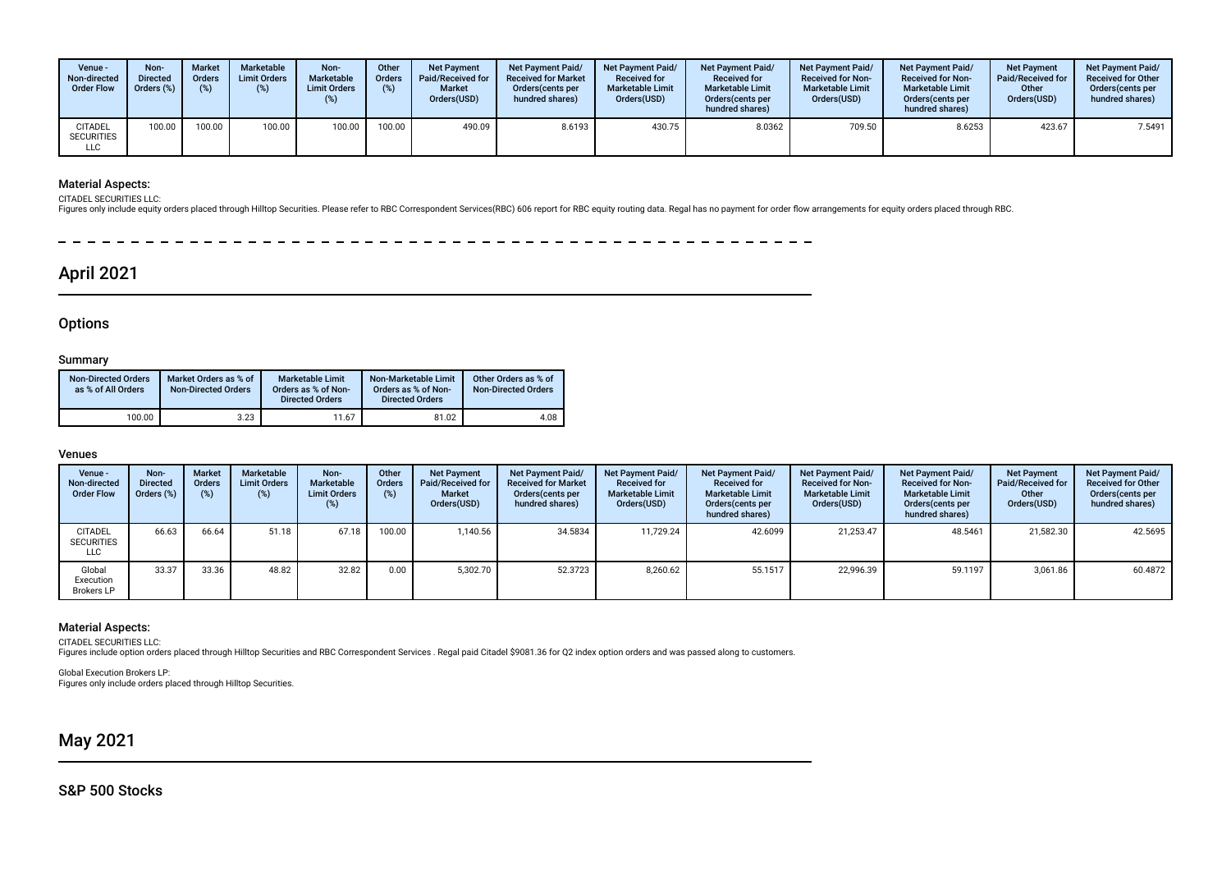| Venue -<br>Non-directed<br><b>Order Flow</b>      | Non-<br><b>Directed</b><br>Orders (%) | <b>Market</b><br><b>Orders</b><br>(%) | Marketable<br><b>Limit Orders</b><br>(%) | Non-<br>Marketable<br><b>Limit Orders</b><br>(%) | Other<br>Orders<br>(%) | <b>Net Payment</b><br><b>Paid/Received for</b><br><b>Market</b><br>Orders(USD) | <b>Net Payment Paid/</b><br><b>Received for Market</b><br>Orders (cents per<br>hundred shares) | <b>Net Payment Paid/</b><br><b>Received for</b><br><b>Marketable Limit</b><br>Orders(USD) | <b>Net Payment Paid/</b><br><b>Received for</b><br><b>Marketable Limit</b><br>Orders (cents per<br>hundred shares) | <b>Net Payment Paid/</b><br><b>Received for Non-</b><br><b>Marketable Limit</b><br>Orders(USD) | <b>Net Payment Paid/</b><br><b>Received for Non-</b><br><b>Marketable Limit</b><br>Orders (cents per<br>hundred shares) | <b>Net Payment</b><br>Paid/Received for<br>Other<br>Orders(USD) | <b>Net Payment Paid/</b><br><b>Received for Other</b><br>Orders(cents per<br>hundred shares) |
|---------------------------------------------------|---------------------------------------|---------------------------------------|------------------------------------------|--------------------------------------------------|------------------------|--------------------------------------------------------------------------------|------------------------------------------------------------------------------------------------|-------------------------------------------------------------------------------------------|--------------------------------------------------------------------------------------------------------------------|------------------------------------------------------------------------------------------------|-------------------------------------------------------------------------------------------------------------------------|-----------------------------------------------------------------|----------------------------------------------------------------------------------------------|
| <b>CITADEL</b><br><b>SECURITIES</b><br><b>LLC</b> | 100.00                                | 100.00                                | 100.00                                   | 100.00                                           | 100.00 <sub>1</sub>    | 490.09                                                                         | 8.6193                                                                                         | 430.75                                                                                    | 8.0362                                                                                                             | 709.50                                                                                         | 8.6253                                                                                                                  | 423.67                                                          | 7.5491                                                                                       |

## Material Aspects:

CITADEL SECURITIES LLC:

Figures only include equity orders placed through Hilltop Securities. Please refer to RBC Correspondent Services(RBC) 606 report for RBC equity routing data. Regal has no payment for order flow arrangements for equity orde

 $- - - - - - - \overline{\phantom{0}}$  $-$ 

# April 2021

# **Options**

#### Summary

| <b>Non-Directed Orders</b><br>as % of All Orders | Market Orders as % of<br><b>Non-Directed Orders</b> | <b>Marketable Limit</b><br>Orders as % of Non-<br><b>Directed Orders</b> | Non-Marketable Limit<br>Orders as % of Non-<br><b>Directed Orders</b> | Other Orders as % of<br><b>Non-Directed Orders</b> |
|--------------------------------------------------|-----------------------------------------------------|--------------------------------------------------------------------------|-----------------------------------------------------------------------|----------------------------------------------------|
| 100.00                                           | 3.23                                                | 11.67                                                                    | 81.02                                                                 | 4.08                                               |

## Venues

| Venue -<br>Non-directed<br><b>Order Flow</b> | Non-<br><b>Directed</b><br>Orders (%) | <b>Market</b><br><b>Orders</b><br>(%) | Marketable<br><b>Limit Orders</b><br>(%) | Non-<br>Marketable<br><b>Limit Orders</b><br>(%) | Other<br>Orders<br>(%) | <b>Net Payment</b><br>Paid/Received for<br><b>Market</b><br>Orders(USD) | Net Payment Paid/<br><b>Received for Market</b><br>Orders (cents per<br>hundred shares) | Net Payment Paid/<br><b>Received for</b><br><b>Marketable Limit</b><br>Orders(USD) | Net Payment Paid/<br><b>Received for</b><br><b>Marketable Limit</b><br>Orders (cents per<br>hundred shares) | Net Payment Paid/<br><b>Received for Non-</b><br><b>Marketable Limit</b><br>Orders(USD) | <b>Net Payment Paid/</b><br><b>Received for Non-</b><br><b>Marketable Limit</b><br>Orders (cents per<br>hundred shares) | <b>Net Payment</b><br>Paid/Received for<br>Other<br>Orders(USD) | Net Payment Paid/<br><b>Received for Other</b><br>Orders(cents per<br>hundred shares) |
|----------------------------------------------|---------------------------------------|---------------------------------------|------------------------------------------|--------------------------------------------------|------------------------|-------------------------------------------------------------------------|-----------------------------------------------------------------------------------------|------------------------------------------------------------------------------------|-------------------------------------------------------------------------------------------------------------|-----------------------------------------------------------------------------------------|-------------------------------------------------------------------------------------------------------------------------|-----------------------------------------------------------------|---------------------------------------------------------------------------------------|
| CITADEL<br><b>SECURITIES</b><br>LLC          | 66.63                                 | 66.64                                 | 51.18                                    | 67.18                                            | 100.00                 | 1,140.56                                                                | 34.5834                                                                                 | 11.729.24                                                                          | 42.6099                                                                                                     | 21,253.47                                                                               | 48.5461                                                                                                                 | 21,582.30                                                       | 42.5695                                                                               |
| Global<br>Execution<br><b>Brokers LP</b>     | 33.37                                 | 33.36                                 | 48.82                                    | 32.82                                            | 0.00                   | 5,302.70                                                                | 52.3723                                                                                 | 8,260.62                                                                           | 55.1517                                                                                                     | 22.996.39                                                                               | 59.1197                                                                                                                 | 3,061.86                                                        | 60.4872                                                                               |

#### Material Aspects:

CITADEL SECURITIES LLC:<br>Figures include option orders placed through Hilltop Securities and RBC Correspondent Services . Regal paid Citadel \$9081.36 for Q2 index option orders and was passed along to customers.

Global Execution Brokers LP: Figures only include orders placed through Hilltop Securities.

May 2021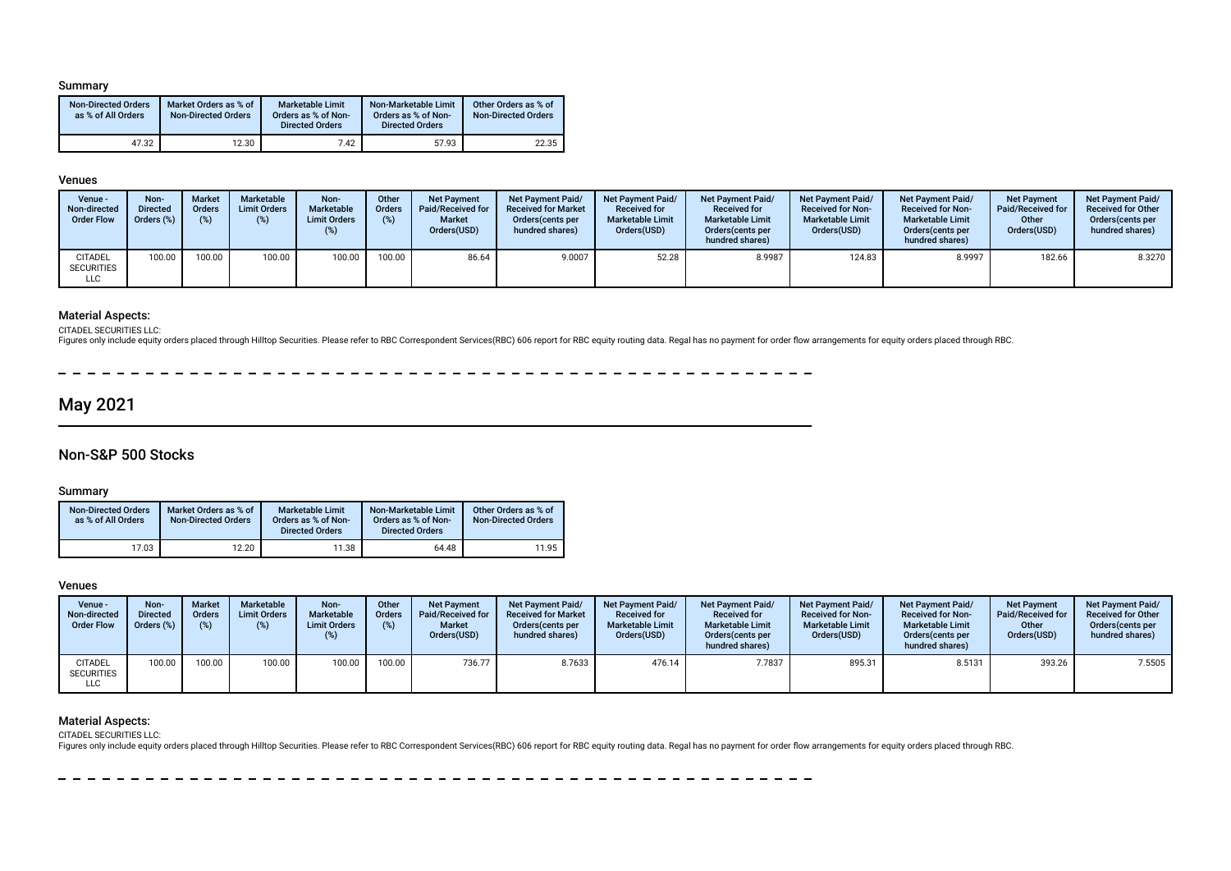#### Summary

| <b>Non-Directed Orders</b><br>as % of All Orders | Market Orders as % of<br><b>Non-Directed Orders</b> | <b>Marketable Limit</b><br>Orders as % of Non-<br><b>Directed Orders</b> | Non-Marketable Limit<br>Orders as % of Non-<br><b>Directed Orders</b> | Other Orders as % of<br><b>Non-Directed Orders</b> |
|--------------------------------------------------|-----------------------------------------------------|--------------------------------------------------------------------------|-----------------------------------------------------------------------|----------------------------------------------------|
| 47.32                                            | 12.30                                               | 7.42                                                                     | 57.93                                                                 | 22.35                                              |

#### Venues

| Venue -<br>Non-directed<br><b>Order Flow</b> | Non-<br><b>Directed</b><br>Orders (%) | <b>Market</b><br><b>Orders</b> | Marketable<br><b>Limit Orders</b> | Non-<br>Marketable<br><b>Limit Orders</b><br>(%) | Other<br><b>Orders</b><br>(%) | <b>Net Payment</b><br>Paid/Received for<br><b>Market</b><br>Orders(USD) | <b>Net Payment Paid/</b><br><b>Received for Market</b><br>Orders (cents per<br>hundred shares) | Net Payment Paid/<br><b>Received for</b><br><b>Marketable Limit</b><br>Orders(USD) | <b>Net Payment Paid/</b><br><b>Received for</b><br><b>Marketable Limit</b><br>Orders(cents per<br>hundred shares) | <b>Net Payment Paid/</b><br><b>Received for Non-</b><br><b>Marketable Limit</b><br>Orders(USD) | <b>Net Payment Paid/</b><br><b>Received for Non-</b><br><b>Marketable Limit</b><br>Orders(cents per<br>hundred shares) | <b>Net Payment</b><br>Paid/Received for<br>Other<br>Orders(USD) | <b>Net Payment Paid/</b><br><b>Received for Other</b><br>Orders(cents per<br>hundred shares) |
|----------------------------------------------|---------------------------------------|--------------------------------|-----------------------------------|--------------------------------------------------|-------------------------------|-------------------------------------------------------------------------|------------------------------------------------------------------------------------------------|------------------------------------------------------------------------------------|-------------------------------------------------------------------------------------------------------------------|------------------------------------------------------------------------------------------------|------------------------------------------------------------------------------------------------------------------------|-----------------------------------------------------------------|----------------------------------------------------------------------------------------------|
| <b>CITADEL</b><br><b>SECURITIES</b><br>LLC   | 100.00                                | 100.00                         | 100.00                            | 100.00                                           | 100.00                        | 86.64                                                                   | 9.0007                                                                                         | 52.28                                                                              | 8.9987                                                                                                            | 124.83                                                                                         | 8.9997                                                                                                                 | 182.66                                                          | 8.3270                                                                                       |

## Material Aspects:

CITADEL SECURITIES LLC:

Figures only include equity orders placed through Hilltop Securities. Please refer to RBC Correspondent Services(RBC) 606 report for RBC equity routing data. Regal has no payment for order flow arrangements for equity orde

 $-$ 

# May 2021

# Non-S&P 500 Stocks

#### Summary

| <b>Non-Directed Orders</b><br>as % of All Orders | Market Orders as % of<br><b>Non-Directed Orders</b> | <b>Marketable Limit</b><br>Orders as % of Non-<br><b>Directed Orders</b> | Non-Marketable Limit<br>Orders as % of Non-<br><b>Directed Orders</b> | Other Orders as % of<br><b>Non-Directed Orders</b> |
|--------------------------------------------------|-----------------------------------------------------|--------------------------------------------------------------------------|-----------------------------------------------------------------------|----------------------------------------------------|
| 17.03                                            | 12.20                                               | 11.38                                                                    | 64.48                                                                 | 11.95                                              |

#### Venues

| Venue -<br>Non-directed<br><b>Order Flow</b> | Non-<br><b>Directed</b><br>Orders (%) | <b>Market</b><br><b>Orders</b><br>(9) | <b>Marketable</b><br><b>Limit Orders</b><br>(%) | Non-<br>Marketable<br><b>Limit Orders</b><br>(%) | Other<br><b>Orders</b><br>(%) | <b>Net Payment</b><br>Paid/Received for<br><b>Market</b><br>Orders(USD) | <b>Net Payment Paid/</b><br><b>Received for Market</b><br>Orders (cents per<br>hundred shares) | <b>Net Payment Paid/</b><br><b>Received for</b><br><b>Marketable Limit</b><br>Orders(USD) | <b>Net Payment Paid/</b><br><b>Received for</b><br><b>Marketable Limit</b><br>Orders (cents per<br>hundred shares) | <b>Net Payment Paid/</b><br><b>Received for Non-</b><br><b>Marketable Limit</b><br>Orders(USD) | <b>Net Payment Paid/</b><br><b>Received for Non-</b><br><b>Marketable Limit</b><br>Orders (cents per<br>hundred shares) | <b>Net Payment</b><br>Paid/Received for<br>Other<br>Orders(USD) | <b>Net Payment Paid/</b><br><b>Received for Other</b><br>Orders(cents per<br>hundred shares) |
|----------------------------------------------|---------------------------------------|---------------------------------------|-------------------------------------------------|--------------------------------------------------|-------------------------------|-------------------------------------------------------------------------|------------------------------------------------------------------------------------------------|-------------------------------------------------------------------------------------------|--------------------------------------------------------------------------------------------------------------------|------------------------------------------------------------------------------------------------|-------------------------------------------------------------------------------------------------------------------------|-----------------------------------------------------------------|----------------------------------------------------------------------------------------------|
| <b>CITADEL</b><br><b>SECURITIES</b><br>LLC   | 100.00                                | 100.00                                | 100.00                                          | 100.00                                           | 100.00                        | 736.77                                                                  | 8.7633                                                                                         | 476.14                                                                                    | 7.7837                                                                                                             | 895.31                                                                                         | 8.5131                                                                                                                  | 393.26                                                          | 7.5505                                                                                       |

#### Material Aspects:

CITADEL SECURITIES LLC:

Figures only include equity orders placed through Hilltop Securities. Please refer to RBC Correspondent Services(RBC) 606 report for RBC equity routing data. Regal has no payment for order flow arrangements for equity orde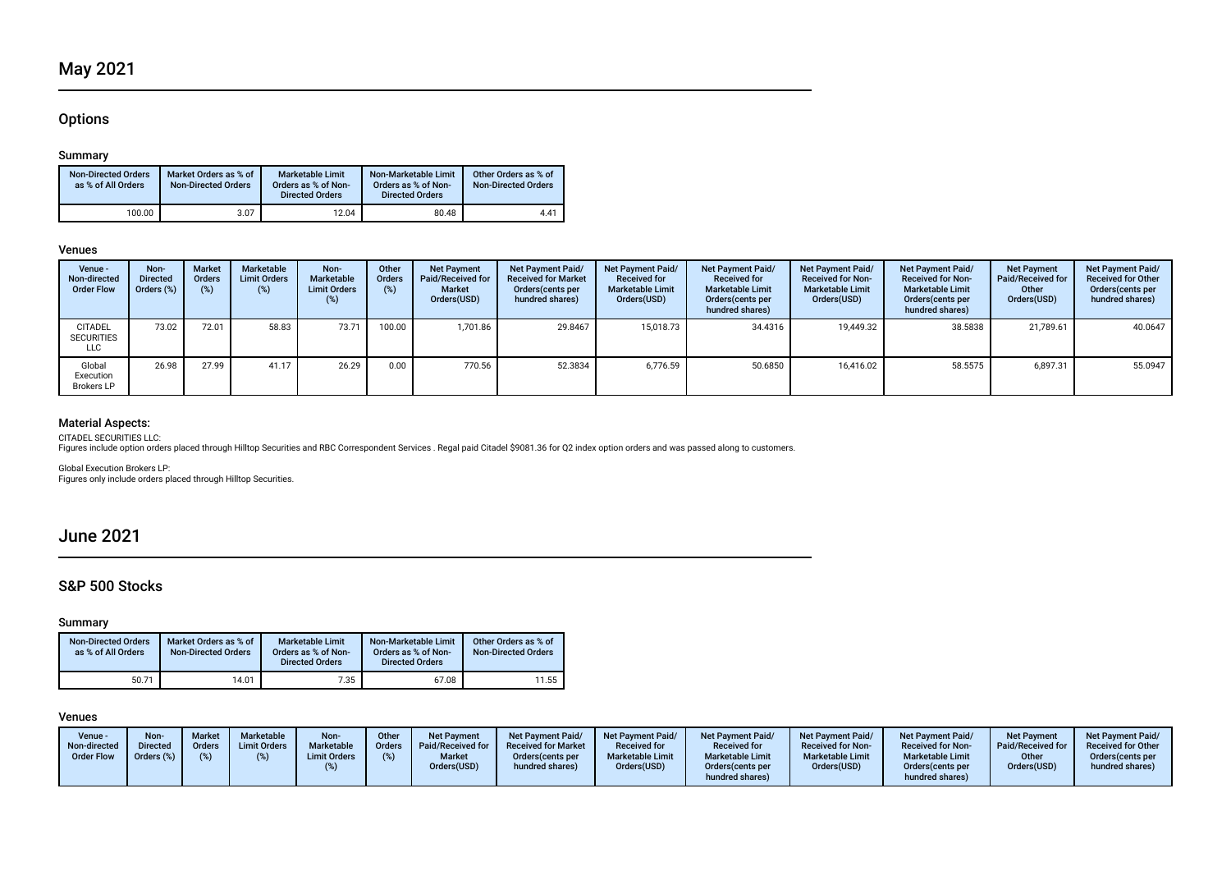# **Options**

## Summary

| <b>Non-Directed Orders</b><br>as % of All Orders | Market Orders as % of<br><b>Non-Directed Orders</b> | <b>Marketable Limit</b><br>Orders as % of Non-<br><b>Directed Orders</b> | Non-Marketable Limit<br>Orders as % of Non-<br><b>Directed Orders</b> | Other Orders as % of<br><b>Non-Directed Orders</b> |
|--------------------------------------------------|-----------------------------------------------------|--------------------------------------------------------------------------|-----------------------------------------------------------------------|----------------------------------------------------|
| 100.00                                           | 3.07                                                | 12.04                                                                    | 80.48                                                                 | 4.41                                               |

#### Venues

| Venue -<br>Non-directed<br><b>Order Flow</b>      | Non-<br><b>Directed</b><br>Orders (%) | <b>Market</b><br>Orders<br>$(\%)$ | Marketable<br><b>Limit Orders</b><br>(%) | Non-<br>Marketable<br><b>Limit Orders</b><br>(%) | Other<br>Orders<br>(%) | <b>Net Payment</b><br>Paid/Received for<br><b>Market</b><br>Orders(USD) | Net Payment Paid/<br><b>Received for Market</b><br>Orders (cents per<br>hundred shares) | Net Payment Paid/<br><b>Received for</b><br><b>Marketable Limit</b><br>Orders(USD) | <b>Net Payment Paid/</b><br><b>Received for</b><br><b>Marketable Limit</b><br>Orders (cents per<br>hundred shares) | Net Payment Paid/<br><b>Received for Non-</b><br><b>Marketable Limit</b><br>Orders(USD) | Net Payment Paid/<br><b>Received for Non-</b><br><b>Marketable Limit</b><br>Orders (cents per<br>hundred shares) | <b>Net Payment</b><br>Paid/Received for<br>Other<br>Orders(USD) | Net Payment Paid/<br><b>Received for Other</b><br>Orders(cents per<br>hundred shares) |
|---------------------------------------------------|---------------------------------------|-----------------------------------|------------------------------------------|--------------------------------------------------|------------------------|-------------------------------------------------------------------------|-----------------------------------------------------------------------------------------|------------------------------------------------------------------------------------|--------------------------------------------------------------------------------------------------------------------|-----------------------------------------------------------------------------------------|------------------------------------------------------------------------------------------------------------------|-----------------------------------------------------------------|---------------------------------------------------------------------------------------|
| <b>CITADEL</b><br><b>SECURITIES</b><br><b>LLC</b> | 73.02                                 | 72.01                             | 58.83                                    | $73.7^{\circ}$                                   | 100.00                 | 1.701.86                                                                | 29.8467                                                                                 | 15.018.73                                                                          | 34.4316                                                                                                            | 19,449.32                                                                               | 38.5838                                                                                                          | 21,789.61                                                       | 40.0647                                                                               |
| Global<br>Execution<br><b>Brokers LP</b>          | 26.98                                 | 27.99                             | 41.17                                    | 26.29                                            | 0.00                   | 770.56                                                                  | 52.3834                                                                                 | 6,776.59                                                                           | 50.6850                                                                                                            | 16.416.02                                                                               | 58.5575                                                                                                          | 6,897.31                                                        | 55.0947                                                                               |

# Material Aspects:

CITADEL SECURITIES LLC:

Figures include option orders placed through Hilltop Securities and RBC Correspondent Services . Regal paid Citadel \$9081.36 for Q2 index option orders and was passed along to customers.

Global Execution Brokers LP: Figures only include orders placed through Hilltop Securities.

# June 2021

# S&P 500 Stocks

## Summary

| <b>Non-Directed Orders</b><br>as % of All Orders | Market Orders as % of<br><b>Non-Directed Orders</b> | Marketable Limit<br>Orders as % of Non-<br><b>Directed Orders</b> | Non-Marketable Limit<br>Orders as % of Non-<br><b>Directed Orders</b> | Other Orders as % of<br><b>Non-Directed Orders</b> |
|--------------------------------------------------|-----------------------------------------------------|-------------------------------------------------------------------|-----------------------------------------------------------------------|----------------------------------------------------|
| 50.71                                            | 14.01                                               | 7.35                                                              | 67.08                                                                 | 11.55                                              |

#### Venues

| Venue -<br>Non-directed<br><b>Order Flow</b> | Non-<br><b>Directed</b><br>Orders (%) | <b>Market</b><br>Orders | Marketable<br><b>Limit Orders</b> | Non-<br>Marketable<br><b>Limit Orders</b> | Other<br>Orders<br>(%) | <b>Net Payment</b><br><b>Paid/Received for</b><br><b>Market</b><br>Orders(USD) | <b>Net Payment Paid/</b><br><b>Received for Market</b><br>Orders (cents per<br>hundred shares) | Net Payment Paid/<br><b>Received for</b><br><b>Marketable Limit</b><br>Orders(USD) | Net Payment Paid/<br><b>Received for</b><br><b>Marketable Limit</b><br>Orders (cents per<br>hundred shares) | <b>Net Payment Paid/</b><br><b>Received for Non-</b><br><b>Marketable Limit</b><br>Orders(USD) | <b>Net Payment Paid/</b><br><b>Received for Non-</b><br><b>Marketable Limit</b><br>Orders (cents per<br>hundred shares) | <b>Net Payment</b><br>Paid/Received for<br>Other<br>Orders(USD) | <b>Net Payment Paid/</b><br><b>Received for Other</b><br>Orders(cents per<br>hundred shares) |
|----------------------------------------------|---------------------------------------|-------------------------|-----------------------------------|-------------------------------------------|------------------------|--------------------------------------------------------------------------------|------------------------------------------------------------------------------------------------|------------------------------------------------------------------------------------|-------------------------------------------------------------------------------------------------------------|------------------------------------------------------------------------------------------------|-------------------------------------------------------------------------------------------------------------------------|-----------------------------------------------------------------|----------------------------------------------------------------------------------------------|
|----------------------------------------------|---------------------------------------|-------------------------|-----------------------------------|-------------------------------------------|------------------------|--------------------------------------------------------------------------------|------------------------------------------------------------------------------------------------|------------------------------------------------------------------------------------|-------------------------------------------------------------------------------------------------------------|------------------------------------------------------------------------------------------------|-------------------------------------------------------------------------------------------------------------------------|-----------------------------------------------------------------|----------------------------------------------------------------------------------------------|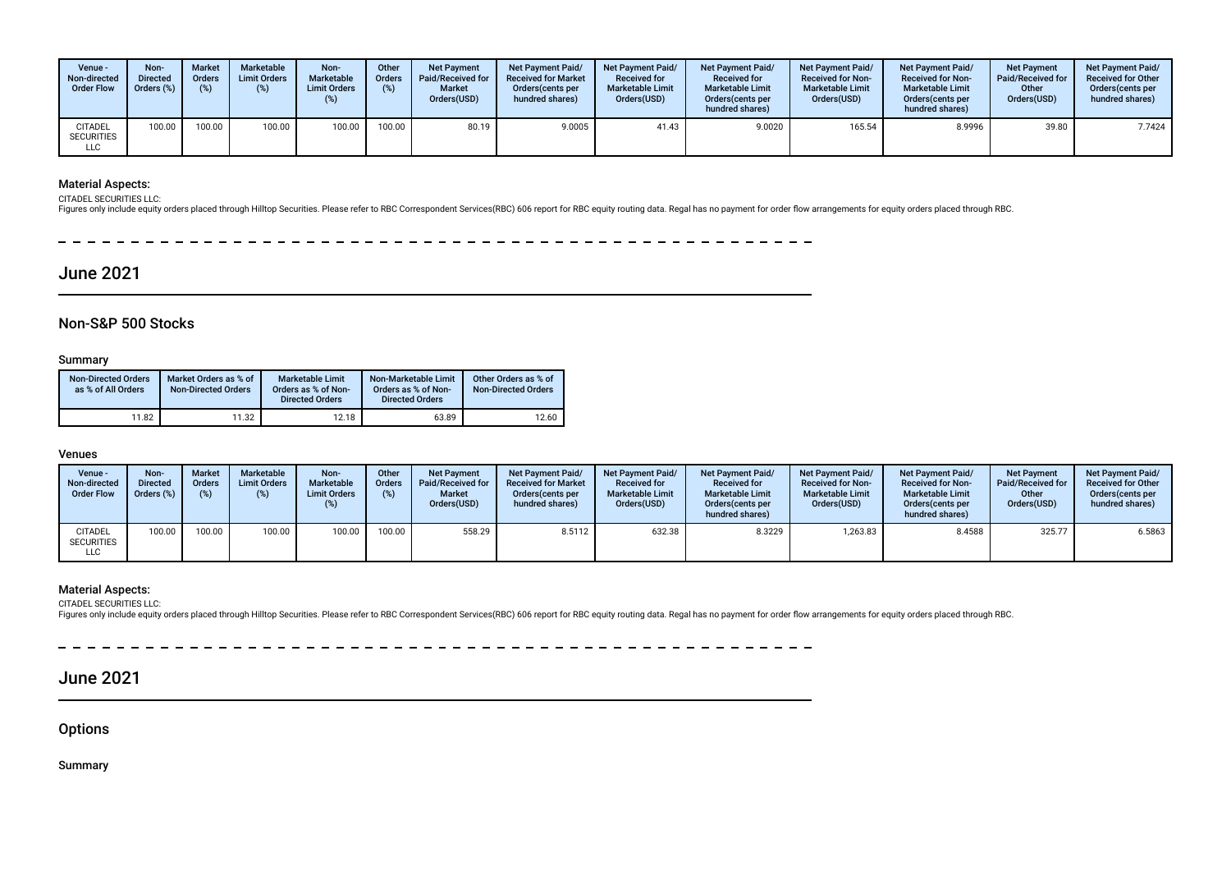| Venue -<br>Non-directed<br><b>Order Flow</b>      | Non-<br><b>Directed</b><br>Orders (%) | <b>Market</b><br><b>Orders</b><br>(%) | Marketable<br><b>Limit Orders</b><br>(%) | Non-<br>Marketable<br><b>Limit Orders</b><br>(%) | Other<br>Orders<br>(%) | <b>Net Payment</b><br><b>Paid/Received for</b><br><b>Market</b><br>Orders(USD) | <b>Net Payment Paid/</b><br><b>Received for Market</b><br>Orders(cents per<br>hundred shares) | <b>Net Payment Paid/</b><br><b>Received for</b><br><b>Marketable Limit</b><br>Orders(USD) | <b>Net Payment Paid/</b><br><b>Received for</b><br><b>Marketable Limit</b><br>Orders (cents per<br>hundred shares) | <b>Net Payment Paid/</b><br><b>Received for Non-</b><br><b>Marketable Limit</b><br>Orders(USD) | <b>Net Payment Paid/</b><br><b>Received for Non-</b><br><b>Marketable Limit</b><br>Orders (cents per<br>hundred shares) | <b>Net Payment</b><br>Paid/Received for<br>Other<br>Orders(USD) | <b>Net Payment Paid/</b><br><b>Received for Other</b><br>Orders(cents per<br>hundred shares) |
|---------------------------------------------------|---------------------------------------|---------------------------------------|------------------------------------------|--------------------------------------------------|------------------------|--------------------------------------------------------------------------------|-----------------------------------------------------------------------------------------------|-------------------------------------------------------------------------------------------|--------------------------------------------------------------------------------------------------------------------|------------------------------------------------------------------------------------------------|-------------------------------------------------------------------------------------------------------------------------|-----------------------------------------------------------------|----------------------------------------------------------------------------------------------|
| <b>CITADEL</b><br><b>SECURITIES</b><br><b>LLC</b> | 100.00                                | 100.00                                | 100.00                                   | 100.00                                           | 100.00                 | 80.19                                                                          | 9.0005                                                                                        | 41.43                                                                                     | 9.0020                                                                                                             | 165.54                                                                                         | 8.9996                                                                                                                  | 39.80                                                           | 7.7424                                                                                       |

## Material Aspects:

CITADEL SECURITIES LLC:

Figures only include equity orders placed through Hilltop Securities. Please refer to RBC Correspondent Services(RBC) 606 report for RBC equity routing data. Regal has no payment for order flow arrangements for equity orde

 $-$ 

# June 2021

# Non-S&P 500 Stocks

#### Summary

| <b>Non-Directed Orders</b><br>as % of All Orders | Market Orders as % of<br><b>Non-Directed Orders</b> | <b>Marketable Limit</b><br>Orders as % of Non-<br><b>Directed Orders</b> | Non-Marketable Limit<br>Orders as % of Non-<br><b>Directed Orders</b> | Other Orders as % of<br><b>Non-Directed Orders</b> |
|--------------------------------------------------|-----------------------------------------------------|--------------------------------------------------------------------------|-----------------------------------------------------------------------|----------------------------------------------------|
| 11.82                                            | 11.32                                               | 12.18                                                                    | 63.89                                                                 | 12.60                                              |

## Venues

| Venue -<br>Non-directed<br><b>Order Flow</b> | Non-<br><b>Directed</b><br>Orders (%) | <b>Market</b><br><b>Orders</b> | Marketable<br><b>Limit Orders</b> | Non-<br>Marketable<br><b>Limit Orders</b><br>(%) | Other<br><b>Orders</b><br>(%) | <b>Net Payment</b><br>Paid/Received for<br><b>Market</b><br>Orders(USD) | <b>Net Payment Paid/</b><br><b>Received for Market</b><br>Orders (cents per<br>hundred shares) | Net Payment Paid/<br><b>Received for</b><br><b>Marketable Limit</b><br>Orders(USD) | <b>Net Payment Paid/</b><br><b>Received for</b><br><b>Marketable Limit</b><br>Orders (cents per<br>hundred shares) | <b>Net Payment Paid/</b><br><b>Received for Non-</b><br><b>Marketable Limit</b><br>Orders(USD) | <b>Net Payment Paid/</b><br><b>Received for Non-</b><br><b>Marketable Limit</b><br>Orders (cents per<br>hundred shares) | <b>Net Payment</b><br>Paid/Received for<br>Other<br>Orders(USD) | <b>Net Payment Paid/</b><br><b>Received for Other</b><br>Orders (cents per<br>hundred shares) |
|----------------------------------------------|---------------------------------------|--------------------------------|-----------------------------------|--------------------------------------------------|-------------------------------|-------------------------------------------------------------------------|------------------------------------------------------------------------------------------------|------------------------------------------------------------------------------------|--------------------------------------------------------------------------------------------------------------------|------------------------------------------------------------------------------------------------|-------------------------------------------------------------------------------------------------------------------------|-----------------------------------------------------------------|-----------------------------------------------------------------------------------------------|
| <b>CITADEL</b><br><b>SECURITIES</b><br>LLC   | 100.00                                | 100.00                         | 100.00                            | 100.00                                           | 100.00                        | 558.29                                                                  | 8.5112                                                                                         | 632.38                                                                             | 8.3229                                                                                                             | 1.263.83                                                                                       | 8.4588                                                                                                                  | 325.77                                                          | 6.5863                                                                                        |

# Material Aspects:

CITADEL SECURITIES LLC:<br>Figures only include equity orders placed through Hilltop Securities. Please refer to RBC Correspondent Services(RBC) 606 report for RBC equity routing data. Regal has no payment for order flow arra

# June 2021

**Options** 

Summary